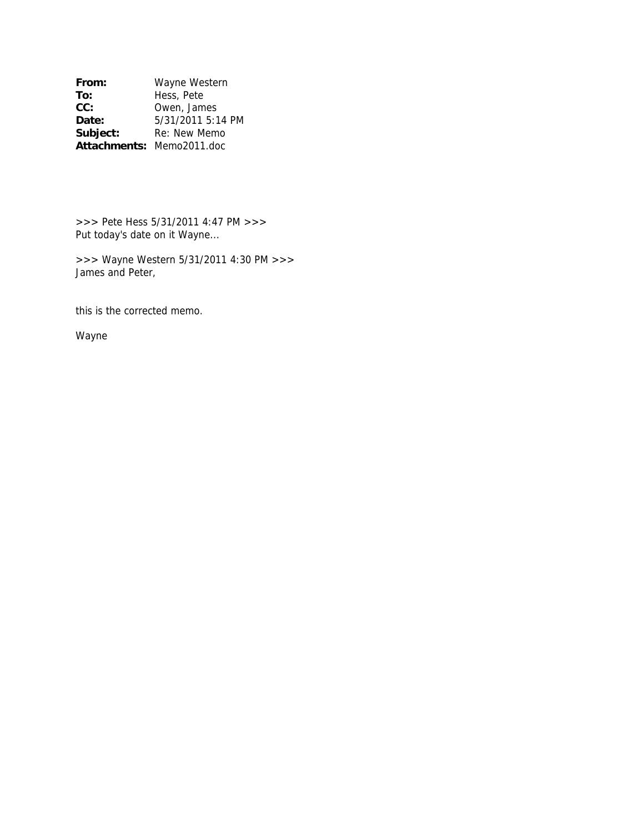**From:** Wayne Western<br> **To:** Hess, Pete **To:** Hess, Pete<br> **CC:** Owen, Jam Owen, James **Date:** 5/31/2011 5:14 PM Subject: Re: New Memo **Attachments:** Memo2011.doc

>>> Pete Hess 5/31/2011 4:47 PM >>> Put today's date on it Wayne...

>>> Wayne Western 5/31/2011 4:30 PM >>> James and Peter,

this is the corrected memo.

Wayne